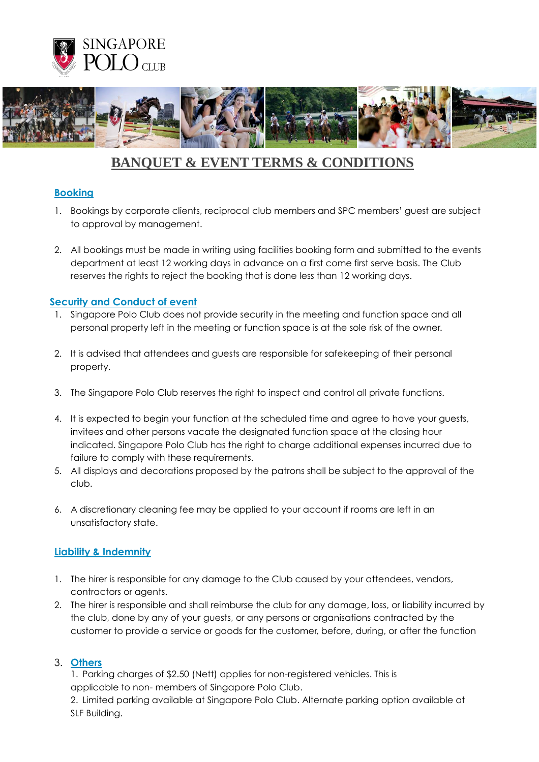



# **BANQUET & EVENT TERMS & CONDITIONS**

## **Booking**

- 1. Bookings by corporate clients, reciprocal club members and SPC members' guest are subject to approval by management.
- 2. All bookings must be made in writing using facilities booking form and submitted to the events department at least 12 working days in advance on a first come first serve basis. The Club reserves the rights to reject the booking that is done less than 12 working days.

### **Security and Conduct of event**

- 1. Singapore Polo Club does not provide security in the meeting and function space and all personal property left in the meeting or function space is at the sole risk of the owner.
- 2. It is advised that attendees and guests are responsible for safekeeping of their personal property.
- 3. The Singapore Polo Club reserves the right to inspect and control all private functions.
- 4. It is expected to begin your function at the scheduled time and agree to have your guests, invitees and other persons vacate the designated function space at the closing hour indicated. Singapore Polo Club has the right to charge additional expenses incurred due to failure to comply with these requirements.
- 5. All displays and decorations proposed by the patrons shall be subject to the approval of the club.
- 6. A discretionary cleaning fee may be applied to your account if rooms are left in an unsatisfactory state.

## **Liability & Indemnity**

- 1. The hirer is responsible for any damage to the Club caused by your attendees, vendors, contractors or agents.
- 2. The hirer is responsible and shall reimburse the club for any damage, loss, or liability incurred by the club, done by any of your guests, or any persons or organisations contracted by the customer to provide a service or goods for the customer, before, during, or after the function

#### 3. **Others**

1. Parking charges of \$2.50 (Nett) applies for non-registered vehicles. This is applicable to non- members of Singapore Polo Club.

2. Limited parking available at Singapore Polo Club. Alternate parking option available at SLF Building.